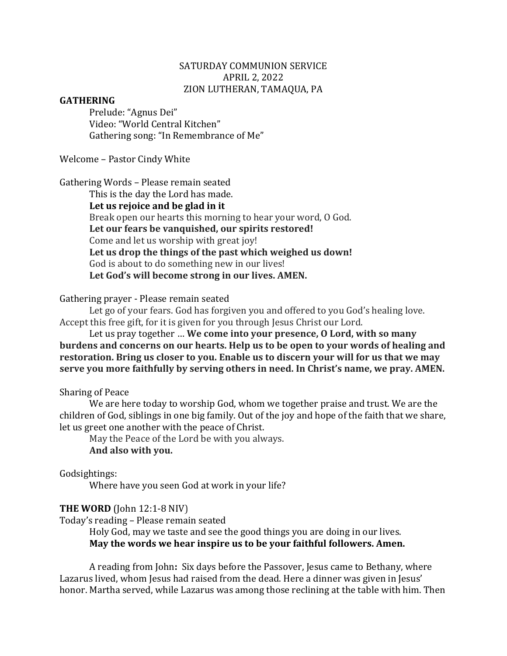### SATURDAY COMMUNION SERVICE APRIL 2, 2022 ZION LUTHERAN, TAMAQUA, PA

### **GATHERING**

Prelude: "Agnus Dei" Video: "World Central Kitchen" Gathering song: "In Remembrance of Me"

Welcome - Pastor Cindy White

Gathering Words - Please remain seated

This is the day the Lord has made. Let us rejoice and be glad in it Break open our hearts this morning to hear your word, O God. **Let our fears be vanquished, our spirits restored!** Come and let us worship with great joy! **Let us drop the things of the past which weighed us down!** God is about to do something new in our lives! **Let God's will become strong in our lives. AMEN.**

Gathering prayer - Please remain seated

Let go of your fears. God has forgiven you and offered to you God's healing love. Accept this free gift, for it is given for you through Jesus Christ our Lord.

Let us pray together ... We come into your presence, O Lord, with so many burdens and concerns on our hearts. Help us to be open to your words of healing and **restoration.** Bring us closer to you. Enable us to discern your will for us that we may serve you more faithfully by serving others in need. In Christ's name, we pray. AMEN.

#### Sharing of Peace

We are here today to worship God, whom we together praise and trust. We are the children of God, siblings in one big family. Out of the joy and hope of the faith that we share. let us greet one another with the peace of Christ.

May the Peace of the Lord be with you always.

#### **And also with you.**

Godsightings:

Where have you seen God at work in your life?

#### **THE WORD** (John 12:1-8 NIV)

Today's reading - Please remain seated

Holy God, may we taste and see the good things you are doing in our lives. **May the words we hear inspire us to be your faithful followers. Amen.** 

A reading from John: Six days before the Passover, Jesus came to Bethany, where Lazarus lived, whom Jesus had raised from the dead. Here a dinner was given in Jesus' honor. Martha served, while Lazarus was among those reclining at the table with him. Then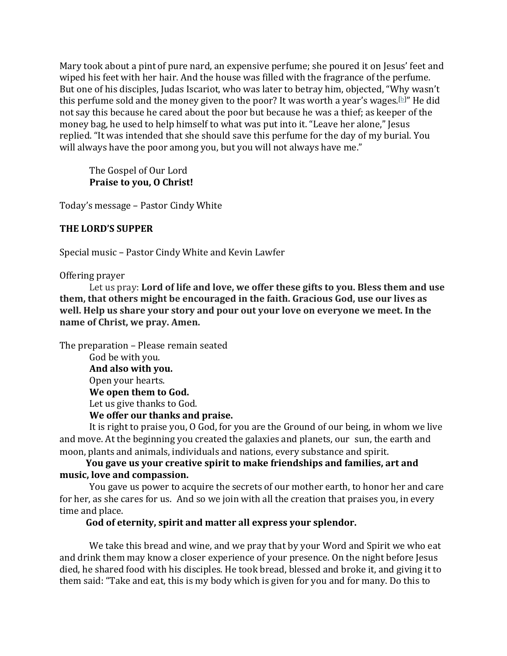Mary took about a pint of pure nard, an expensive perfume; she poured it on Jesus' feet and wiped his feet with her hair. And the house was filled with the fragrance of the perfume. But one of his disciples, Judas Iscariot, who was later to betray him, objected, "Why wasn't this perfume sold and the money given to the poor? It was worth a year's wages.[b]" He did not say this because he cared about the poor but because he was a thief; as keeper of the money bag, he used to help himself to what was put into it. "Leave her alone," Jesus replied. "It was intended that she should save this perfume for the day of my burial. You will always have the poor among you, but you will not always have me."

The Gospel of Our Lord **Praise to you, O Christ!** 

Today's message - Pastor Cindy White

### **THE LORD'S SUPPER**

Special music - Pastor Cindy White and Kevin Lawfer

Offering prayer

Let us pray: Lord of life and love, we offer these gifts to you. Bless them and use **them, that others might be encouraged in the faith. Gracious God, use our lives as well.** Help us share your story and pour out your love on everyone we meet. In the **name of Christ, we pray. Amen.** 

The preparation – Please remain seated God be with you. And also with you. Open your hearts. We open them to God. Let us give thanks to God.

**We offer our thanks and praise.**

It is right to praise you, O God, for you are the Ground of our being, in whom we live and move. At the beginning you created the galaxies and planets, our sun, the earth and moon, plants and animals, individuals and nations, every substance and spirit.

# **You gave us your creative spirit to make friendships and families, art and music, love and compassion.**

You gave us power to acquire the secrets of our mother earth, to honor her and care for her, as she cares for us. And so we join with all the creation that praises you, in every time and place.

God of eternity, spirit and matter all express your splendor.

We take this bread and wine, and we pray that by your Word and Spirit we who eat and drink them may know a closer experience of your presence. On the night before Jesus died, he shared food with his disciples. He took bread, blessed and broke it, and giving it to them said: "Take and eat, this is my body which is given for you and for many. Do this to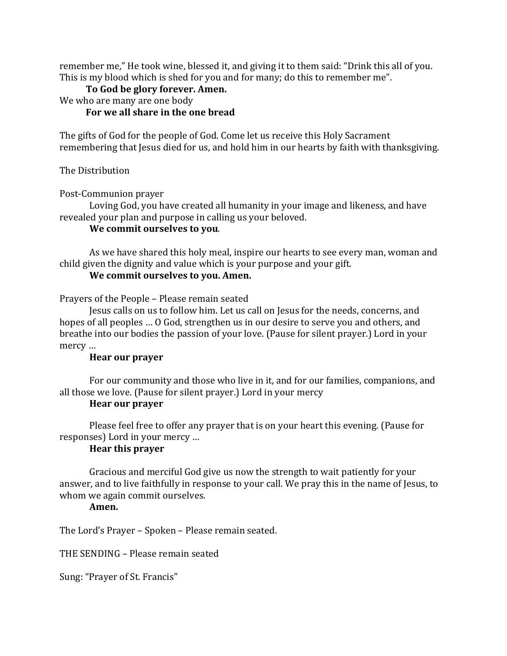remember me," He took wine, blessed it, and giving it to them said: "Drink this all of you. This is my blood which is shed for you and for many; do this to remember me".

## To God be glory forever. Amen.

We who are many are one body

# For we all share in the one bread

The gifts of God for the people of God. Come let us receive this Holy Sacrament remembering that Jesus died for us, and hold him in our hearts by faith with thanksgiving.

The Distribution

Post-Communion prayer

Loving God, you have created all humanity in your image and likeness, and have revealed your plan and purpose in calling us your beloved.

### **We commit ourselves to you.**

As we have shared this holy meal, inspire our hearts to see every man, woman and child given the dignity and value which is your purpose and your gift.

# **We commit ourselves to you. Amen.**

Prayers of the People - Please remain seated

Jesus calls on us to follow him. Let us call on Jesus for the needs, concerns, and hopes of all peoples ... O God, strengthen us in our desire to serve you and others, and breathe into our bodies the passion of your love. (Pause for silent prayer.) Lord in your mercy ...

### **Hear our prayer**

For our community and those who live in it, and for our families, companions, and all those we love. (Pause for silent prayer.) Lord in your mercy

### **Hear our prayer**

Please feel free to offer any prayer that is on your heart this evening. (Pause for responses) Lord in your mercy ...

# **Hear this prayer**

Gracious and merciful God give us now the strength to wait patiently for your answer, and to live faithfully in response to your call. We pray this in the name of Jesus, to whom we again commit ourselves.

### **Amen.**

The Lord's Prayer - Spoken - Please remain seated.

THE SENDING – Please remain seated

Sung: "Prayer of St. Francis"